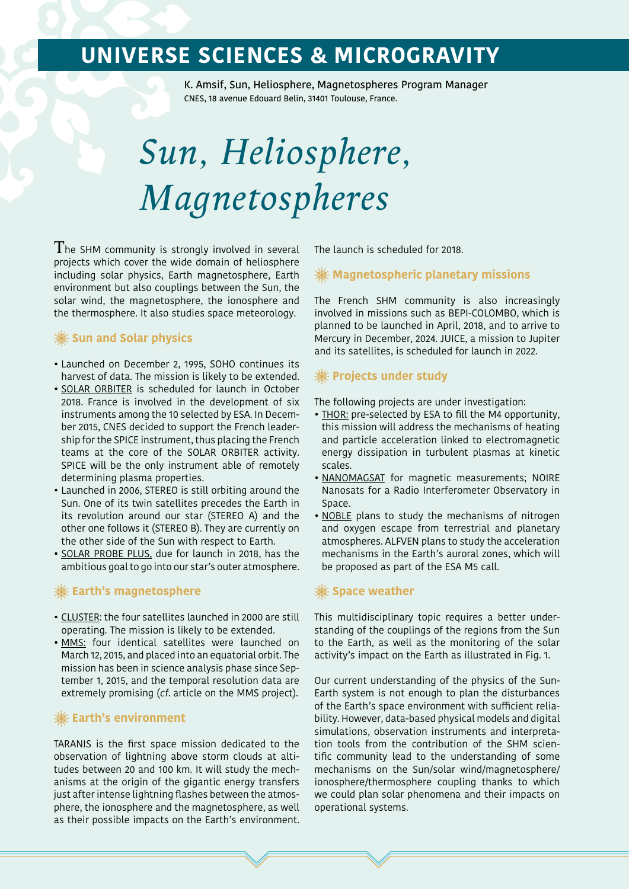## **UNIVERSE SCIENCES & MICROGRAVITY**

K. Amsif, Sun, Heliosphere, Magnetospheres Program Manager CNES, 18 avenue Edouard Belin, 31401 Toulouse, France.

# *Sun, Heliosphere, Magnetospheres*

 $T$ he SHM community is strongly involved in several projects which cover the wide domain of heliosphere including solar physics, Earth magnetosphere, Earth environment but also couplings between the Sun, the solar wind, the magnetosphere, the ionosphere and the thermosphere. It also studies space meteorology.

## **Sun and Solar physics**

- Launched on December 2, 1995, SOHO continues its harvest of data. The mission is likely to be extended.
- SOLAR ORBITER is scheduled for launch in October 2018. France is involved in the development of six instruments among the 10 selected by ESA. In December 2015, CNES decided to support the French leadership for the SPICE instrument, thus placing the French teams at the core of the SOLAR ORBITER activity. SPICE will be the only instrument able of remotely determining plasma properties.
- Launched in 2006, STEREO is still orbiting around the Sun. One of its twin satellites precedes the Earth in its revolution around our star (STEREO A) and the other one follows it (STEREO B). They are currently on the other side of the Sun with respect to Earth.
- SOLAR PROBE PLUS, due for launch in 2018, has the ambitious goal to go into our star's outer atmosphere.

### **Earth's magnetosphere**

- CLUSTER: the four satellites launched in 2000 are still operating. The mission is likely to be extended.
- MMS: four identical satellites were launched on March 12, 2015, and placed into an equatorial orbit. The mission has been in science analysis phase since September 1, 2015, and the temporal resolution data are extremely promising (cf. article on the MMS project).

## **Earth's environment**

TARANIS is the first space mission dedicated to the observation of lightning above storm clouds at altitudes between 20 and 100 km. It will study the mechanisms at the origin of the gigantic energy transfers just after intense lightning flashes between the atmosphere, the ionosphere and the magnetosphere, as well as their possible impacts on the Earth's environment.

The launch is scheduled for 2018.

## **Magnetospheric planetary missions**

The French SHM community is also increasingly involved in missions such as BEPI-COLOMBO, which is planned to be launched in April, 2018, and to arrive to Mercury in December, 2024. JUICE, a mission to Jupiter and its satellites, is scheduled for launch in 2022.

## **Projects under study**

The following projects are under investigation:

- THOR: pre-selected by ESA to fill the M4 opportunity, this mission will address the mechanisms of heating and particle acceleration linked to electromagnetic energy dissipation in turbulent plasmas at kinetic scales.
- NANOMAGSAT for magnetic measurements; NOIRE Nanosats for a Radio Interferometer Observatory in Space.
- NOBLE plans to study the mechanisms of nitrogen and oxygen escape from terrestrial and planetary atmospheres. ALFVEN plans to study the acceleration mechanisms in the Earth's auroral zones, which will be proposed as part of the ESA M5 call.

## **Space weather**

This multidisciplinary topic requires a better understanding of the couplings of the regions from the Sun to the Earth, as well as the monitoring of the solar activity's impact on the Earth as illustrated in Fig. 1.

Our current understanding of the physics of the Sun-Earth system is not enough to plan the disturbances of the Earth's space environment with sufficient reliability. However, data-based physical models and digital simulations, observation instruments and interpretation tools from the contribution of the SHM scientific community lead to the understanding of some mechanisms on the Sun/solar wind/magnetosphere/ ionosphere/thermosphere coupling thanks to which we could plan solar phenomena and their impacts on operational systems.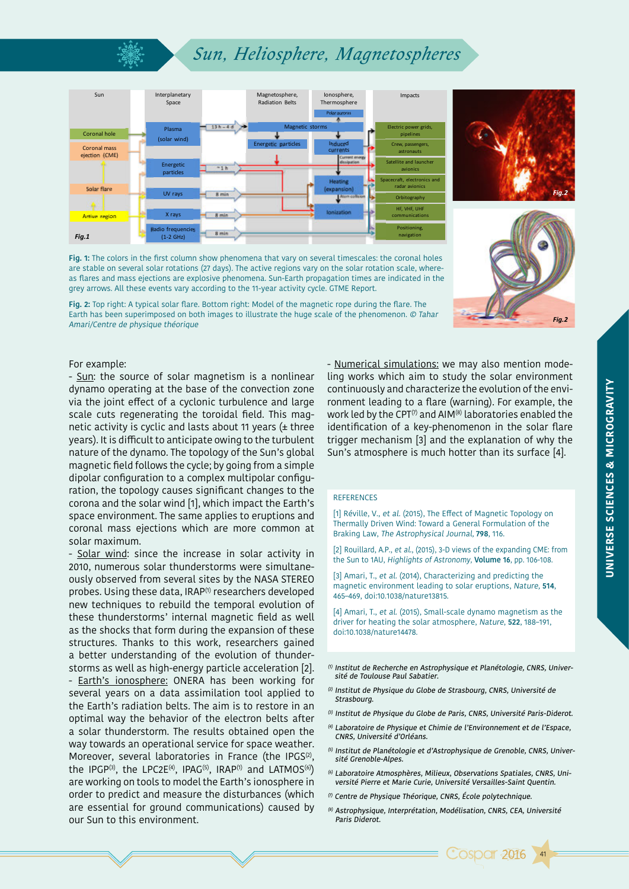## *Sun, Heliosphere, Magnetospheres*



**Fig. 1:** The colors in the first column show phenomena that vary on several timescales: the coronal holes are stable on several solar rotations (27 days). The active regions vary on the solar rotation scale, whereas flares and mass ejections are explosive phenomena. Sun-Earth propagation times are indicated in the grey arrows. All these events vary according to the 11-year activity cycle. GTME Report.

**Fig. 2:** Top right: A typical solar flare. Bottom right: Model of the magnetic rope during the flare. The Earth has been superimposed on both images to illustrate the huge scale of the phenomenon. © Tahar Amari/Centre de physique théorique



*Fig.2*

For example:

- Sun: the source of solar magnetism is a nonlinear dynamo operating at the base of the convection zone via the joint effect of a cyclonic turbulence and large scale cuts regenerating the toroidal field. This magnetic activity is cyclic and lasts about 11 years  $($ ± three years). It is difficult to anticipate owing to the turbulent nature of the dynamo. The topology of the Sun's global magnetic field follows the cycle; by going from a simple dipolar configuration to a complex multipolar configuration, the topology causes significant changes to the corona and the solar wind [1], which impact the Earth's space environment. The same applies to eruptions and coronal mass ejections which are more common at solar maximum.

- Solar wind: since the increase in solar activity in 2010, numerous solar thunderstorms were simultaneously observed from several sites by the NASA STEREO probes. Using these data, IRAP<sup>(1)</sup> researchers developed new techniques to rebuild the temporal evolution of these thunderstorms' internal magnetic field as well as the shocks that form during the expansion of these structures. Thanks to this work, researchers gained a better understanding of the evolution of thunderstorms as well as high-energy particle acceleration [2]. - Earth's ionosphere: ONERA has been working for several years on a data assimilation tool applied to the Earth's radiation belts. The aim is to restore in an optimal way the behavior of the electron belts after a solar thunderstorm. The results obtained open the way towards an operational service for space weather. Moreover, several laboratories in France (the IPGS<sup>(2)</sup>, the IPGP<sup>(3)</sup>, the LPC2E<sup>(4)</sup>, IPAG<sup>(5)</sup>, IRAP<sup>(1)</sup> and LATMOS<sup>(6)</sup>) are working on tools to model the Earth's ionosphere in order to predict and measure the disturbances (which are essential for ground communications) caused by our Sun to this environment.

- Numerical simulations: we may also mention modeling works which aim to study the solar environment continuously and characterize the evolution of the environment leading to a flare (warning). For example, the work led by the CPT<sup> $(7)$ </sup> and AIM<sup>(8)</sup> laboratories enabled the identification of a key-phenomenon in the solar flare trigger mechanism [3] and the explanation of why the Sun's atmosphere is much hotter than its surface [4].

#### **REFERENCES**

[1] Réville, V., et al. (2015), The Effect of Magnetic Topology on Thermally Driven Wind: Toward a General Formulation of the Braking Law, The Astrophysical Journal, **798**, 116.

[2] Rouillard, A.P., et al., (2015), 3-D views of the expanding CME: from the Sun to 1AU, Highlights of Astronomy, **Volume 16**, pp. 106-108.

[3] Amari, T., et al. (2014), Characterizing and predicting the magnetic environment leading to solar eruptions, Nature, **514**, 465–469, doi:10.1038/nature13815.

[4] Amari, T., et al. (2015), Small-scale dynamo magnetism as the driver for heating the solar atmosphere, Nature, **522**, 188–191, doi:10.1038/nature14478.

- $0$  Institut de Recherche en Astrophysique et Planétologie, CNRS, Université de Toulouse Paul Sabatier.
- $(2)$  Institut de Physique du Globe de Strasbourg, CNRS, Université de **Strasbourg**
- (3) Institut de Physique du Globe de Paris, CNRS, Université Paris-Diderot.
- (4) Laboratoire de Physique et Chimie de l'Environnement et de l'Espace, CNRS, Université d'Orléans.
- (5) Institut de Planétologie et d'Astrophysique de Grenoble, CNRS, Université Grenoble-Alpes.
- (6) Laboratoire Atmosphères, Milieux, Observations Spatiales, CNRS, Université Pierre et Marie Curie, Université Versailles-Saint Quentin.
- (7) Centre de Physique Théorique, CNRS, École polytechnique.
- (8) Astrophysique, Interprétation, Modélisation, CNRS, CEA, Université Paris Diderot.

41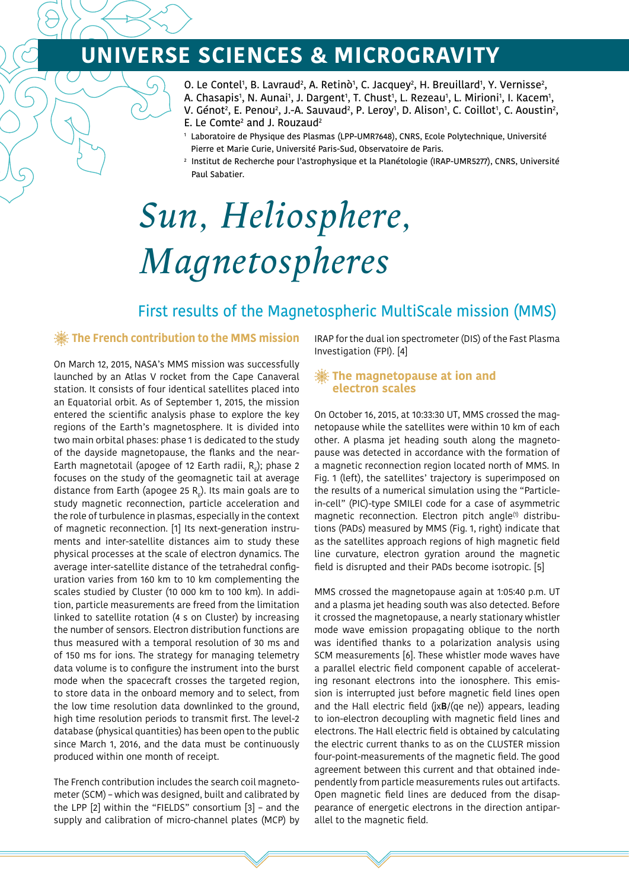# **UNIVERSE SCIENCES & MICROGRAVITY**

- 0. Le Contel<sup>1</sup>, B. Lavraud<sup>2</sup>, A. Retinò<sup>1</sup>, C. Jacquey<sup>2</sup>, H. Breuillard<sup>1</sup>, Y. Vernisse<sup>2</sup>,
- A. Chasapis1, N. Aunai1, J. Dargent1, T. Chust1, L. Rezeau1, L. Mirioni1, I. Kacem1,
- V. Génot<sup>2</sup>, E. Penou<sup>2</sup>, J.-A. Sauvaud<sup>2</sup>, P. Leroy<sup>1</sup>, D. Alison<sup>1</sup>, C. Coillot<sup>1</sup>, C. Aoustin<sup>2</sup>, E. Le Comte<sup>2</sup> and J. Rouzaud<sup>2</sup>
- 1 Laboratoire de Physique des Plasmas (LPP-UMR7648), CNRS, Ecole Polytechnique, Université Pierre et Marie Curie, Université Paris-Sud, Observatoire de Paris.
- 2 Institut de Recherche pour l'astrophysique et la Planétologie (IRAP-UMR5277), CNRS, Université Paul Sabatier.

# *Sun, Heliosphere, Magnetospheres*

## First results of the Magnetospheric MultiScale mission (MMS)

### **The French contribution to the MMS mission**

On March 12, 2015, NASA's MMS mission was successfully launched by an Atlas V rocket from the Cape Canaveral station. It consists of four identical satellites placed into an Equatorial orbit. As of September 1, 2015, the mission entered the scientific analysis phase to explore the key regions of the Earth's magnetosphere. It is divided into two main orbital phases: phase 1 is dedicated to the study of the dayside magnetopause, the flanks and the near-Earth magnetotail (apogee of 12 Earth radii,  $\texttt{R}_{_{\rm E}}$ ); phase 2 focuses on the study of the geomagnetic tail at average distance from Earth (apogee 25  $R_{\rm g}$ ). Its main goals are to study magnetic reconnection, particle acceleration and the role of turbulence in plasmas, especially in the context of magnetic reconnection. [1] Its next-generation instruments and inter-satellite distances aim to study these physical processes at the scale of electron dynamics. The average inter-satellite distance of the tetrahedral configuration varies from 160 km to 10 km complementing the scales studied by Cluster (10 000 km to 100 km). In addition, particle measurements are freed from the limitation linked to satellite rotation (4 s on Cluster) by increasing the number of sensors. Electron distribution functions are thus measured with a temporal resolution of 30 ms and of 150 ms for ions. The strategy for managing telemetry data volume is to configure the instrument into the burst mode when the spacecraft crosses the targeted region, to store data in the onboard memory and to select, from the low time resolution data downlinked to the ground, high time resolution periods to transmit first. The level-2 database (physical quantities) has been open to the public since March 1, 2016, and the data must be continuously produced within one month of receipt.

The French contribution includes the search coil magnetometer (SCM) – which was designed, built and calibrated by the LPP [2] within the "FIELDS" consortium [3] – and the supply and calibration of micro-channel plates (MCP) by IRAP for the dual ion spectrometer (DIS) of the Fast Plasma Investigation (FPI). [4]

### **The magnetopause at ion and electron scales**

On October 16, 2015, at 10:33:30 UT, MMS crossed the magnetopause while the satellites were within 10 km of each other. A plasma jet heading south along the magnetopause was detected in accordance with the formation of a magnetic reconnection region located north of MMS. In Fig. 1 (left), the satellites' trajectory is superimposed on the results of a numerical simulation using the "Particlein-cell" (PIC)-type SMILEI code for a case of asymmetric magnetic reconnection. Electron pitch angle<sup>(1)</sup> distributions (PADs) measured by MMS (Fig. 1, right) indicate that as the satellites approach regions of high magnetic field line curvature, electron gyration around the magnetic field is disrupted and their PADs become isotropic. [5]

MMS crossed the magnetopause again at 1:05:40 p.m. UT and a plasma jet heading south was also detected. Before it crossed the magnetopause, a nearly stationary whistler mode wave emission propagating oblique to the north was identified thanks to a polarization analysis using SCM measurements [6]. These whistler mode waves have a parallel electric field component capable of accelerating resonant electrons into the ionosphere. This emission is interrupted just before magnetic field lines open and the Hall electric field (jx**B**/(qe ne)) appears, leading to ion-electron decoupling with magnetic field lines and electrons. The Hall electric field is obtained by calculating the electric current thanks to as on the CLUSTER mission four-point-measurements of the magnetic field. The good agreement between this current and that obtained independently from particle measurements rules out artifacts. Open magnetic field lines are deduced from the disappearance of energetic electrons in the direction antiparallel to the magnetic field.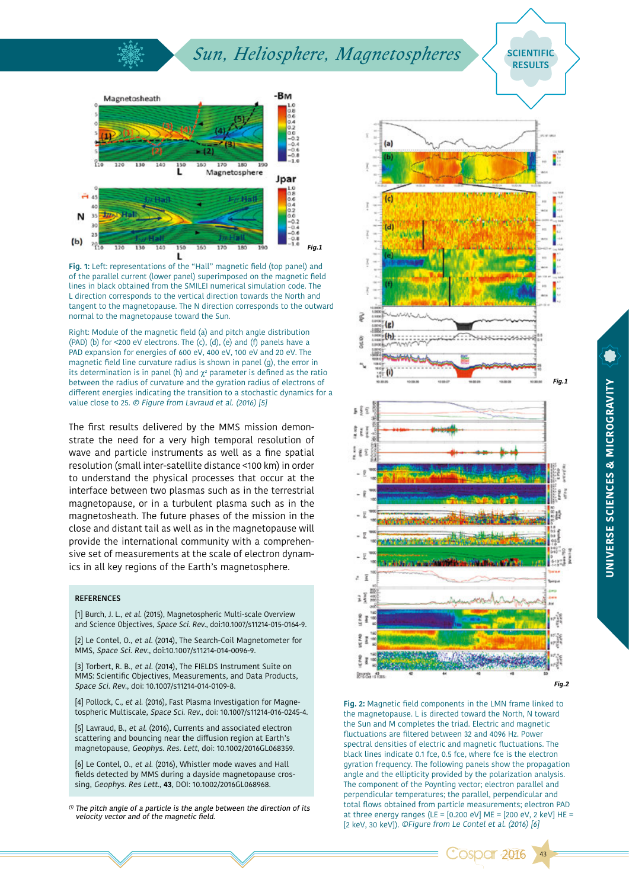## $Sun, Heliosphere, Magnetospheres$  / SCIENTIFIC



**Fig. 1:** Left: representations of the "Hall" magnetic field (top panel) and of the parallel current (lower panel) superimposed on the magnetic field lines in black obtained from the SMILEI numerical simulation code. The L direction corresponds to the vertical direction towards the North and tangent to the magnetopause. The N direction corresponds to the outward normal to the magnetopause toward the Sun.

Right: Module of the magnetic field (a) and pitch angle distribution (PAD) (b) for <200 eV electrons. The (c), (d), (e) and (f) panels have a PAD expansion for energies of 600 eV, 400 eV, 100 eV and 20 eV. The magnetic field line curvature radius is shown in panel (g), the error in its determination is in panel (h) and  $\chi^2$  parameter is defined as the ratio between the radius of curvature and the gyration radius of electrons of different energies indicating the transition to a stochastic dynamics for a value close to 25. © Figure from Lavraud et al. (2016) [5]

The first results delivered by the MMS mission demonstrate the need for a very high temporal resolution of wave and particle instruments as well as a fine spatial resolution (small inter-satellite distance <100 km) in order to understand the physical processes that occur at the interface between two plasmas such as in the terrestrial magnetopause, or in a turbulent plasma such as in the magnetosheath. The future phases of the mission in the close and distant tail as well as in the magnetopause will provide the international community with a comprehensive set of measurements at the scale of electron dynamics in all key regions of the Earth's magnetosphere.

#### **REFERENCES**

[1] Burch, J. L., et al. (2015), Magnetospheric Multi-scale Overview and Science Objectives, Space Sci. Rev., doi:10.1007/s11214-015-0164-9.

[2] Le Contel, O., et al. (2014), The Search-Coil Magnetometer for MMS, Space Sci. Rev., doi:10.1007/s11214-014-0096-9.

[3] Torbert, R. B., et al. (2014), The FIELDS Instrument Suite on MMS: Scientific Objectives, Measurements, and Data Products, Space Sci. Rev., doi: 10.1007/s11214-014-0109-8.

[4] Pollock, C., et al. (2016), Fast Plasma Investigation for Magnetospheric Multiscale, Space Sci. Rev., doi: 10.1007/s11214-016-0245-4.

[5] Lavraud, B., et al. (2016), Currents and associated electron scattering and bouncing near the diffusion region at Earth's magnetopause, Geophys. Res. Lett, doi: 10.1002/2016GL068359.

[6] Le Contel, O., et al. (2016), Whistler mode waves and Hall fields detected by MMS during a dayside magnetopause crossing, Geophys. Res Lett., **43**, DOI: 10.1002/2016GL068968.

 $0$  The pitch angle of a particle is the angle between the direction of its velocity vector and of the magnetic field.



**RESULTS**

**Fig. 2:** Magnetic field components in the LMN frame linked to the magnetopause. L is directed toward the North, N toward the Sun and M completes the triad. Electric and magnetic fluctuations are filtered between 32 and 4096 Hz. Power spectral densities of electric and magnetic fluctuations. The black lines indicate 0.1 fce, 0.5 fce, where fce is the electron gyration frequency. The following panels show the propagation angle and the ellipticity provided by the polarization analysis. The component of the Poynting vector; electron parallel and perpendicular temperatures; the parallel, perpendicular and total flows obtained from particle measurements; electron PAD at three energy ranges (LE =  $[0.200 \text{ eV}]$  ME =  $[200 \text{ eV}, 2 \text{ keV}]$  HE = [2 keV, 30 keV]). ©Figure from Le Contel et al. (2016) [6]

*<u>Cospar 2016</u>* 

43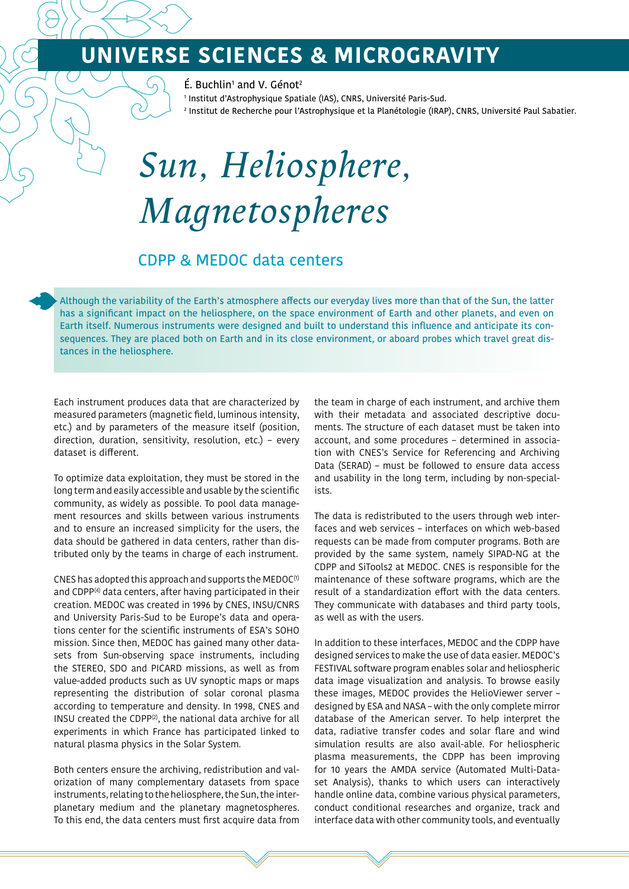## **UNIVERSE SCIENCES & MICROGRAVITY**

 $E.$  Buchlin<sup>1</sup> and V. Génot<sup>2</sup>

1 Institut d'Astrophysique Spatiale (IAS), CNRS, Université Paris-Sud.

2 Institut de Recherche pour l'Astrophysique et la Planétologie (IRAP), CNRS, Université Paul Sabatier.

# *Sun, Heliosphere, Magnetospheres*

## CDPP & MEDOC data centers

Although the variability of the Earth's atmosphere affects our everyday lives more than that of the Sun, the latter has a significant impact on the heliosphere, on the space environment of Earth and other planets, and even on Earth itself. Numerous instruments were designed and built to understand this influence and anticipate its consequences. They are placed both on Earth and in its close environment, or aboard probes which travel great distances in the heliosphere.

Each instrument produces data that are characterized by measured parameters (magnetic field, luminous intensity, etc.) and by parameters of the measure itself (position, direction, duration, sensitivity, resolution, etc.) – every dataset is different.

To optimize data exploitation, they must be stored in the long term and easily accessible and usable by the scientific community, as widely as possible. To pool data management resources and skills between various instruments and to ensure an increased simplicity for the users, the data should be gathered in data centers, rather than distributed only by the teams in charge of each instrument.

CNES has adopted this approach and supports the MEDOC $(1)$ and CDPP<sup>(4)</sup> data centers, after having participated in their creation. MEDOC was created in 1996 by CNES, INSU/CNRS and University Paris-Sud to be Europe's data and operations center for the scientific instruments of ESA's SOHO mission. Since then, MEDOC has gained many other datasets from Sun-observing space instruments, including the STEREO, SDO and PICARD missions, as well as from value-added products such as UV synoptic maps or maps representing the distribution of solar coronal plasma according to temperature and density. In 1998, CNES and INSU created the CDPP $(2)$ , the national data archive for all experiments in which France has participated linked to natural plasma physics in the Solar System.

Both centers ensure the archiving, redistribution and valorization of many complementary datasets from space instruments, relating to the heliosphere, the Sun, the interplanetary medium and the planetary magnetospheres. To this end, the data centers must first acquire data from

the team in charge of each instrument, and archive them with their metadata and associated descriptive documents. The structure of each dataset must be taken into account, and some procedures – determined in association with CNES's Service for Referencing and Archiving Data (SERAD) – must be followed to ensure data access and usability in the long term, including by non-specialists.

The data is redistributed to the users through web interfaces and web services – interfaces on which web-based requests can be made from computer programs. Both are provided by the same system, namely SIPAD-NG at the CDPP and SiTools2 at MEDOC. CNES is responsible for the maintenance of these software programs, which are the result of a standardization effort with the data centers. They communicate with databases and third party tools, as well as with the users.

In addition to these interfaces, MEDOC and the CDPP have designed services to make the use of data easier. MEDOC's FESTIVAL software program enables solar and heliospheric data image visualization and analysis. To browse easily these images, MEDOC provides the HelioViewer server – designed by ESA and NASA – with the only complete mirror database of the American server. To help interpret the data, radiative transfer codes and solar flare and wind simulation results are also avail-able. For heliospheric plasma measurements, the CDPP has been improving for 10 years the AMDA service (Automated Multi-Dataset Analysis), thanks to which users can interactively handle online data, combine various physical parameters, conduct conditional researches and organize, track and interface data with other community tools, and eventually